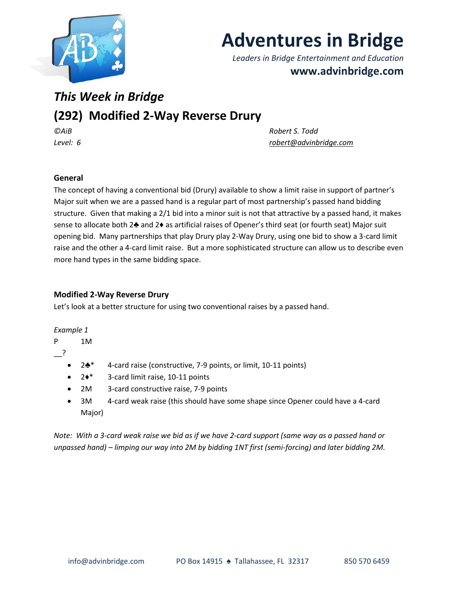

# **Adventures in Bridge**

*Leaders in Bridge Entertainment and Education* **www.advinbridge.com**

## *This Week in Bridge*

## **(292) Modified 2-Way Reverse Drury**

*©AiB Robert S. Todd Level: 6 [robert@advinbridge.com](mailto:robert@advinbridge.com)*

### **General**

The concept of having a conventional bid (Drury) available to show a limit raise in support of partner's Major suit when we are a passed hand is a regular part of most partnership's passed hand bidding structure. Given that making a 2/1 bid into a minor suit is not that attractive by a passed hand, it makes sense to allocate both 2♣ and 2♦ as artificial raises of Opener's third seat (or fourth seat) Major suit opening bid. Many partnerships that play Drury play 2-Way Drury, using one bid to show a 3-card limit raise and the other a 4-card limit raise. But a more sophisticated structure can allow us to describe even more hand types in the same bidding space.

#### **Modified 2-Way Reverse Drury**

Let's look at a better structure for using two conventional raises by a passed hand.

#### *Example 1*

P 1M

\_\_?

- 2♣\* 4-card raise (constructive, 7-9 points, or limit, 10-11 points)
- 2♦\* 3-card limit raise, 10-11 points
- 2M 3-card constructive raise, 7-9 points
- 3M 4-card weak raise (this should have some shape since Opener could have a 4-card Major)

*Note: With a 3-card weak raise we bid as if we have 2-card support (same way as a passed hand or unpassed hand) – limping our way into 2M by bidding 1NT first (semi-forcing) and later bidding 2M.*